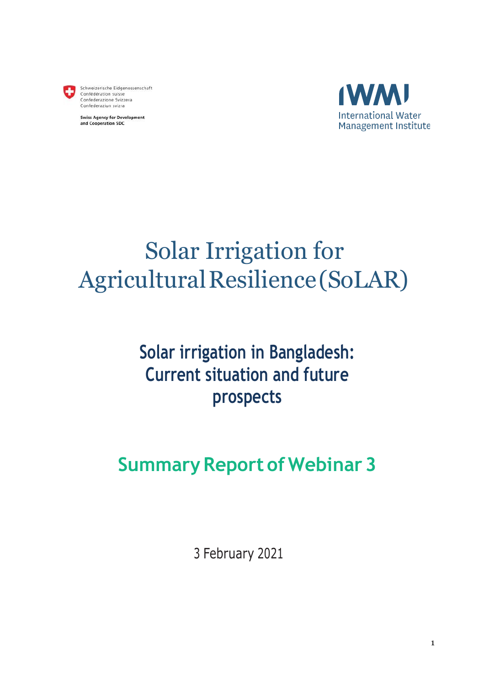

Schweizerische Eidgenossenschaft<br>Confédération suisse Confederazione Svizzera Confederaziun svizra

**Swiss Agency for Development** and Cooperation SDC



# Solar Irrigation for Agricultural Resilience (SoLAR)

## **Solar irrigation in Bangladesh: Current situation and future prospects**

## **Summary Report of Webinar 3**

3 February 2021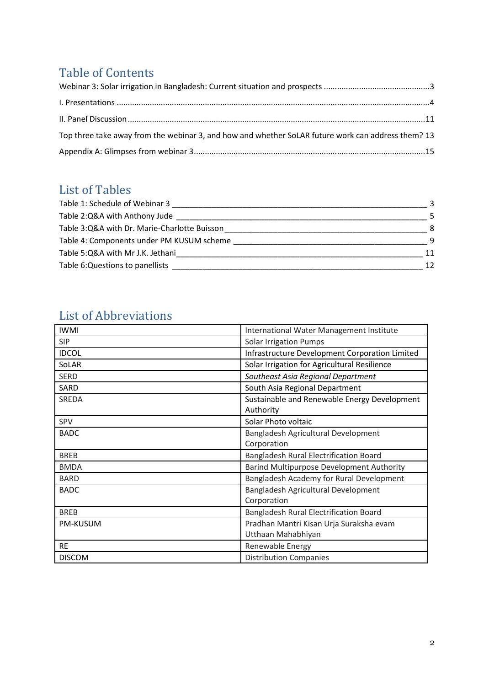## Table of Contents

| Top three take away from the webinar 3, and how and whether SoLAR future work can address them? 13 |  |
|----------------------------------------------------------------------------------------------------|--|
|                                                                                                    |  |

### List of Tables

| Table 1: Schedule of Webinar 3               |               |
|----------------------------------------------|---------------|
| Table 2:Q&A with Anthony Jude                | 5.            |
| Table 3:Q&A with Dr. Marie-Charlotte Buisson | 8             |
| Table 4: Components under PM KUSUM scheme    | q             |
| Table 5:Q&A with Mr J.K. Jethani             | 11            |
| Table 6: Questions to panellists             | $12 \text{ }$ |

### List of Abbreviations

| <b>IWMI</b>     | International Water Management Institute       |
|-----------------|------------------------------------------------|
| <b>SIP</b>      | <b>Solar Irrigation Pumps</b>                  |
| <b>IDCOL</b>    | Infrastructure Development Corporation Limited |
| SoLAR           | Solar Irrigation for Agricultural Resilience   |
| <b>SERD</b>     | Southeast Asia Regional Department             |
| <b>SARD</b>     | South Asia Regional Department                 |
| SREDA           | Sustainable and Renewable Energy Development   |
|                 | Authority                                      |
| <b>SPV</b>      | Solar Photo voltaic                            |
| <b>BADC</b>     | Bangladesh Agricultural Development            |
|                 | Corporation                                    |
| <b>BREB</b>     | Bangladesh Rural Electrification Board         |
| <b>BMDA</b>     | Barind Multipurpose Development Authority      |
| <b>BARD</b>     | Bangladesh Academy for Rural Development       |
| <b>BADC</b>     | Bangladesh Agricultural Development            |
|                 | Corporation                                    |
| <b>BREB</b>     | Bangladesh Rural Electrification Board         |
| <b>PM-KUSUM</b> | Pradhan Mantri Kisan Urja Suraksha evam        |
|                 | Utthaan Mahabhiyan                             |
| <b>RE</b>       | Renewable Energy                               |
| <b>DISCOM</b>   | <b>Distribution Companies</b>                  |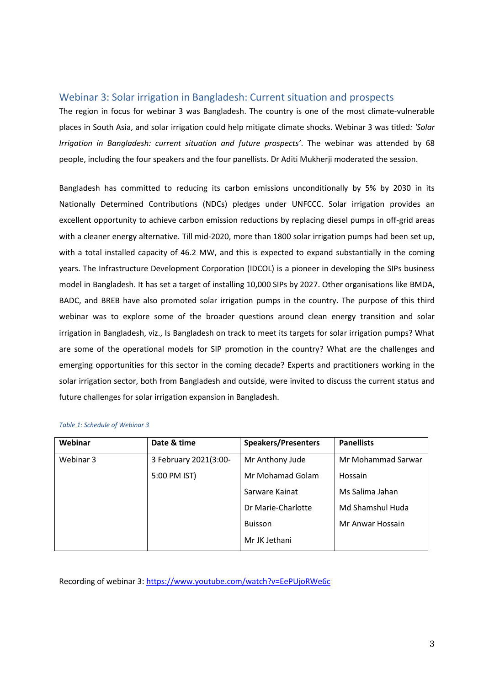#### <span id="page-2-0"></span>Webinar 3: Solar irrigation in Bangladesh: Current situation and prospects

The region in focus for webinar 3 was Bangladesh. The country is one of the most climate-vulnerable places in South Asia, and solar irrigation could help mitigate climate shocks. Webinar 3 was titled*: 'Solar Irrigation in Bangladesh: current situation and future prospects'*. The webinar was attended by 68 people, including the four speakers and the four panellists. Dr Aditi Mukherji moderated the session.

Bangladesh has committed to reducing its carbon emissions unconditionally by 5% by 2030 in its Nationally Determined Contributions (NDCs) pledges under UNFCCC. Solar irrigation provides an excellent opportunity to achieve carbon emission reductions by replacing diesel pumps in off-grid areas with a cleaner energy alternative. Till mid-2020, more than 1800 solar irrigation pumps had been set up, with a total installed capacity of 46.2 MW, and this is expected to expand substantially in the coming years. The Infrastructure Development Corporation (IDCOL) is a pioneer in developing the SIPs business model in Bangladesh. It has set a target of installing 10,000 SIPs by 2027. Other organisations like BMDA, BADC, and BREB have also promoted solar irrigation pumps in the country. The purpose of this third webinar was to explore some of the broader questions around clean energy transition and solar irrigation in Bangladesh, viz., Is Bangladesh on track to meet its targets for solar irrigation pumps? What are some of the operational models for SIP promotion in the country? What are the challenges and emerging opportunities for this sector in the coming decade? Experts and practitioners working in the solar irrigation sector, both from Bangladesh and outside, were invited to discuss the current status and future challenges for solar irrigation expansion in Bangladesh.

| Webinar   | Date & time           | <b>Speakers/Presenters</b> | <b>Panellists</b>  |
|-----------|-----------------------|----------------------------|--------------------|
| Webinar 3 | 3 February 2021(3:00- | Mr Anthony Jude            | Mr Mohammad Sarwar |
|           | 5:00 PM IST)          | Mr Mohamad Golam           | Hossain            |
|           |                       | Sarware Kainat             | Ms Salima Jahan    |
|           |                       | Dr Marie-Charlotte         | Md Shamshul Huda   |
|           |                       | <b>Buisson</b>             | Mr Anwar Hossain   |
|           |                       | Mr JK Jethani              |                    |

#### <span id="page-2-1"></span>*Table 1: Schedule of Webinar 3*

Recording of webinar 3:<https://www.youtube.com/watch?v=EePUjoRWe6c>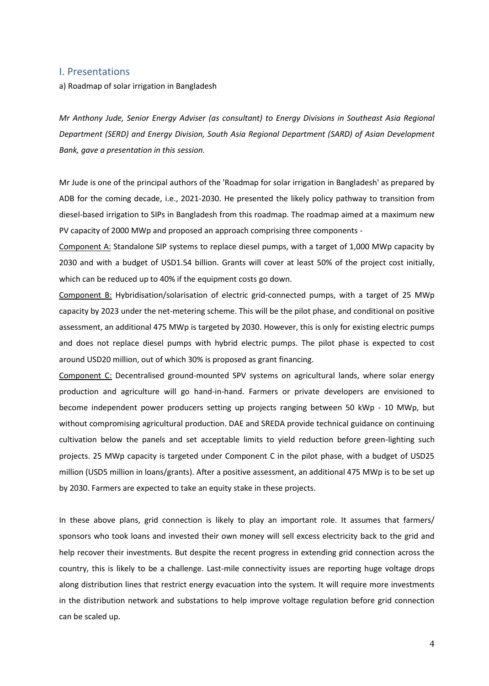#### <span id="page-3-0"></span>I. Presentations

a) Roadmap of solar irrigation in Bangladesh

*Mr Anthony Jude, Senior Energy Adviser (as consultant) to Energy Divisions in Southeast Asia Regional Department (SERD) and Energy Division, South Asia Regional Department (SARD) of Asian Development Bank, gave a presentation in this session.*

Mr Jude is one of the principal authors of the 'Roadmap for solar irrigation in Bangladesh' as prepared by ADB for the coming decade, i.e., 2021-2030. He presented the likely policy pathway to transition from diesel-based irrigation to SIPs in Bangladesh from this roadmap. The roadmap aimed at a maximum new PV capacity of 2000 MWp and proposed an approach comprising three components -

Component A: Standalone SIP systems to replace diesel pumps, with a target of 1,000 MWp capacity by 2030 and with a budget of USD1.54 billion. Grants will cover at least 50% of the project cost initially, which can be reduced up to 40% if the equipment costs go down.

Component B: Hybridisation/solarisation of electric grid-connected pumps, with a target of 25 MWp capacity by 2023 under the net-metering scheme. This will be the pilot phase, and conditional on positive assessment, an additional 475 MWp is targeted by 2030. However, this is only for existing electric pumps and does not replace diesel pumps with hybrid electric pumps. The pilot phase is expected to cost around USD20 million, out of which 30% is proposed as grant financing.

Component C: Decentralised ground-mounted SPV systems on agricultural lands, where solar energy production and agriculture will go hand-in-hand. Farmers or private developers are envisioned to become independent power producers setting up projects ranging between 50 kWp - 10 MWp, but without compromising agricultural production. DAE and SREDA provide technical guidance on continuing cultivation below the panels and set acceptable limits to yield reduction before green-lighting such projects. 25 MWp capacity is targeted under Component C in the pilot phase, with a budget of USD25 million (USD5 million in loans/grants). After a positive assessment, an additional 475 MWp is to be set up by 2030. Farmers are expected to take an equity stake in these projects.

In these above plans, grid connection is likely to play an important role. It assumes that farmers/ sponsors who took loans and invested their own money will sell excess electricity back to the grid and help recover their investments. But despite the recent progress in extending grid connection across the country, this is likely to be a challenge. Last-mile connectivity issues are reporting huge voltage drops along distribution lines that restrict energy evacuation into the system. It will require more investments in the distribution network and substations to help improve voltage regulation before grid connection can be scaled up.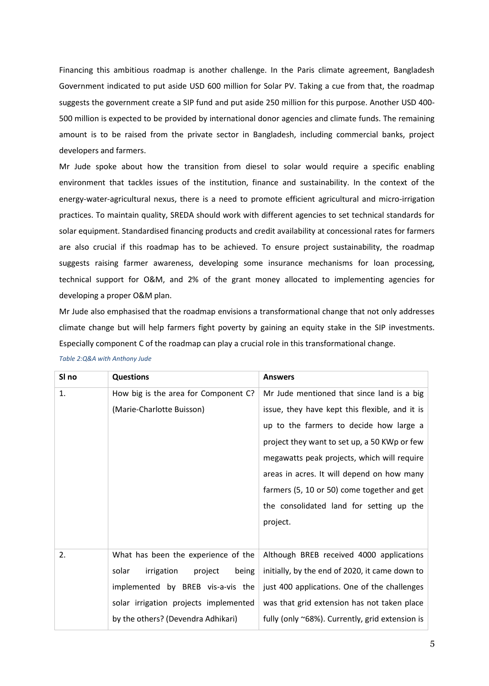Financing this ambitious roadmap is another challenge. In the Paris climate agreement, Bangladesh Government indicated to put aside USD 600 million for Solar PV. Taking a cue from that, the roadmap suggests the government create a SIP fund and put aside 250 million for this purpose. Another USD 400- 500 million is expected to be provided by international donor agencies and climate funds. The remaining amount is to be raised from the private sector in Bangladesh, including commercial banks, project developers and farmers.

Mr Jude spoke about how the transition from diesel to solar would require a specific enabling environment that tackles issues of the institution, finance and sustainability. In the context of the energy-water-agricultural nexus, there is a need to promote efficient agricultural and micro-irrigation practices. To maintain quality, SREDA should work with different agencies to set technical standards for solar equipment. Standardised financing products and credit availability at concessional rates for farmers are also crucial if this roadmap has to be achieved. To ensure project sustainability, the roadmap suggests raising farmer awareness, developing some insurance mechanisms for loan processing, technical support for O&M, and 2% of the grant money allocated to implementing agencies for developing a proper O&M plan.

Mr Jude also emphasised that the roadmap envisions a transformational change that not only addresses climate change but will help farmers fight poverty by gaining an equity stake in the SIP investments. Especially component C of the roadmap can play a crucial role in this transformational change.

| SI no | <b>Questions</b>                        | <b>Answers</b>                                  |
|-------|-----------------------------------------|-------------------------------------------------|
| 1.    | How big is the area for Component C?    | Mr Jude mentioned that since land is a big      |
|       | (Marie-Charlotte Buisson)               | issue, they have kept this flexible, and it is  |
|       |                                         | up to the farmers to decide how large a         |
|       |                                         | project they want to set up, a 50 KWp or few    |
|       |                                         | megawatts peak projects, which will require     |
|       |                                         | areas in acres. It will depend on how many      |
|       |                                         | farmers (5, 10 or 50) come together and get     |
|       |                                         | the consolidated land for setting up the        |
|       |                                         | project.                                        |
|       |                                         |                                                 |
| 2.    | What has been the experience of the     | Although BREB received 4000 applications        |
|       | solar<br>irrigation<br>project<br>being | initially, by the end of 2020, it came down to  |
|       | implemented by BREB vis-a-vis the       | just 400 applications. One of the challenges    |
|       | solar irrigation projects implemented   | was that grid extension has not taken place     |
|       | by the others? (Devendra Adhikari)      | fully (only ~68%). Currently, grid extension is |

<span id="page-4-0"></span>*Table 2:Q&A with Anthony Jude*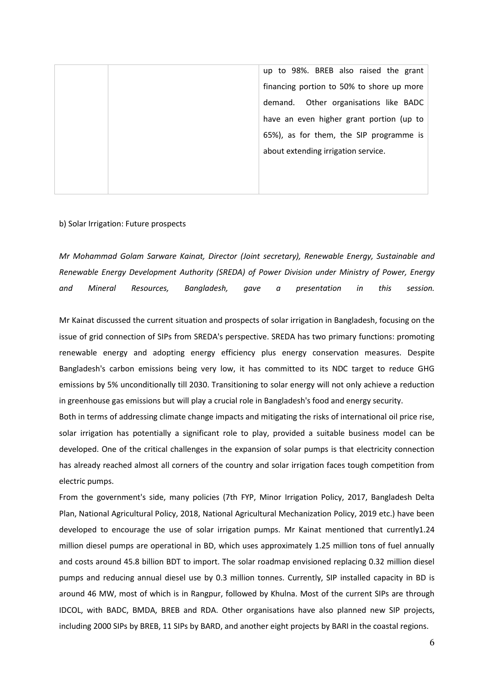up to 98%. BREB also raised the grant financing portion to 50% to shore up more demand. Other organisations like BADC have an even higher grant portion (up to 65%), as for them, the SIP programme is about extending irrigation service.

#### b) Solar Irrigation: Future prospects

*Mr Mohammad Golam Sarware Kainat, Director (Joint secretary), Renewable Energy, Sustainable and Renewable Energy Development Authority (SREDA) of Power Division under Ministry of Power, Energy and Mineral Resources, Bangladesh, gave a presentation in this session.*

Mr Kainat discussed the current situation and prospects of solar irrigation in Bangladesh, focusing on the issue of grid connection of SIPs from SREDA's perspective. SREDA has two primary functions: promoting renewable energy and adopting energy efficiency plus energy conservation measures. Despite Bangladesh's carbon emissions being very low, it has committed to its NDC target to reduce GHG emissions by 5% unconditionally till 2030. Transitioning to solar energy will not only achieve a reduction in greenhouse gas emissions but will play a crucial role in Bangladesh's food and energy security.

Both in terms of addressing climate change impacts and mitigating the risks of international oil price rise, solar irrigation has potentially a significant role to play, provided a suitable business model can be developed. One of the critical challenges in the expansion of solar pumps is that electricity connection has already reached almost all corners of the country and solar irrigation faces tough competition from electric pumps.

From the government's side, many policies (7th FYP, Minor Irrigation Policy, 2017, Bangladesh Delta Plan, National Agricultural Policy, 2018, National Agricultural Mechanization Policy, 2019 etc.) have been developed to encourage the use of solar irrigation pumps. Mr Kainat mentioned that currently1.24 million diesel pumps are operational in BD, which uses approximately 1.25 million tons of fuel annually and costs around 45.8 billion BDT to import. The solar roadmap envisioned replacing 0.32 million diesel pumps and reducing annual diesel use by 0.3 million tonnes. Currently, SIP installed capacity in BD is around 46 MW, most of which is in Rangpur, followed by Khulna. Most of the current SIPs are through IDCOL, with BADC, BMDA, BREB and RDA. Other organisations have also planned new SIP projects, including 2000 SIPs by BREB, 11 SIPs by BARD, and another eight projects by BARI in the coastal regions.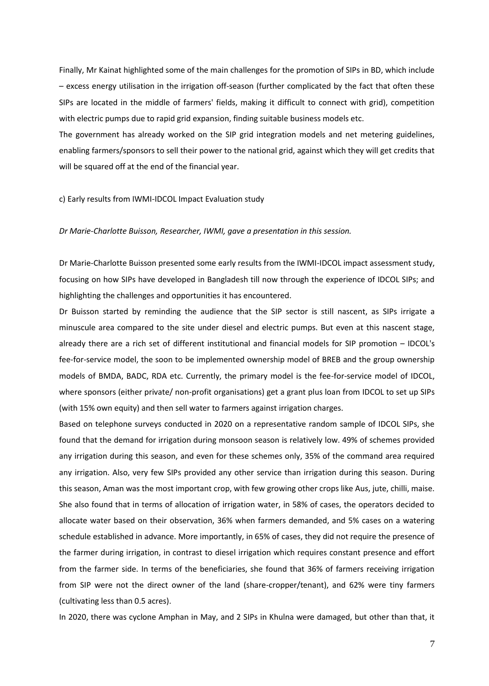Finally, Mr Kainat highlighted some of the main challenges for the promotion of SIPs in BD, which include – excess energy utilisation in the irrigation off-season (further complicated by the fact that often these SIPs are located in the middle of farmers' fields, making it difficult to connect with grid), competition with electric pumps due to rapid grid expansion, finding suitable business models etc.

The government has already worked on the SIP grid integration models and net metering guidelines, enabling farmers/sponsors to sell their power to the national grid, against which they will get credits that will be squared off at the end of the financial year.

#### c) Early results from IWMI-IDCOL Impact Evaluation study

#### *Dr Marie-Charlotte Buisson, Researcher, IWMI, gave a presentation in this session.*

Dr Marie-Charlotte Buisson presented some early results from the IWMI-IDCOL impact assessment study, focusing on how SIPs have developed in Bangladesh till now through the experience of IDCOL SIPs; and highlighting the challenges and opportunities it has encountered.

Dr Buisson started by reminding the audience that the SIP sector is still nascent, as SIPs irrigate a minuscule area compared to the site under diesel and electric pumps. But even at this nascent stage, already there are a rich set of different institutional and financial models for SIP promotion – IDCOL's fee-for-service model, the soon to be implemented ownership model of BREB and the group ownership models of BMDA, BADC, RDA etc. Currently, the primary model is the fee-for-service model of IDCOL, where sponsors (either private/ non-profit organisations) get a grant plus loan from IDCOL to set up SIPs (with 15% own equity) and then sell water to farmers against irrigation charges.

Based on telephone surveys conducted in 2020 on a representative random sample of IDCOL SIPs, she found that the demand for irrigation during monsoon season is relatively low. 49% of schemes provided any irrigation during this season, and even for these schemes only, 35% of the command area required any irrigation. Also, very few SIPs provided any other service than irrigation during this season. During this season, Aman was the most important crop, with few growing other crops like Aus, jute, chilli, maise. She also found that in terms of allocation of irrigation water, in 58% of cases, the operators decided to allocate water based on their observation, 36% when farmers demanded, and 5% cases on a watering schedule established in advance. More importantly, in 65% of cases, they did not require the presence of the farmer during irrigation, in contrast to diesel irrigation which requires constant presence and effort from the farmer side. In terms of the beneficiaries, she found that 36% of farmers receiving irrigation from SIP were not the direct owner of the land (share-cropper/tenant), and 62% were tiny farmers (cultivating less than 0.5 acres).

In 2020, there was cyclone Amphan in May, and 2 SIPs in Khulna were damaged, but other than that, it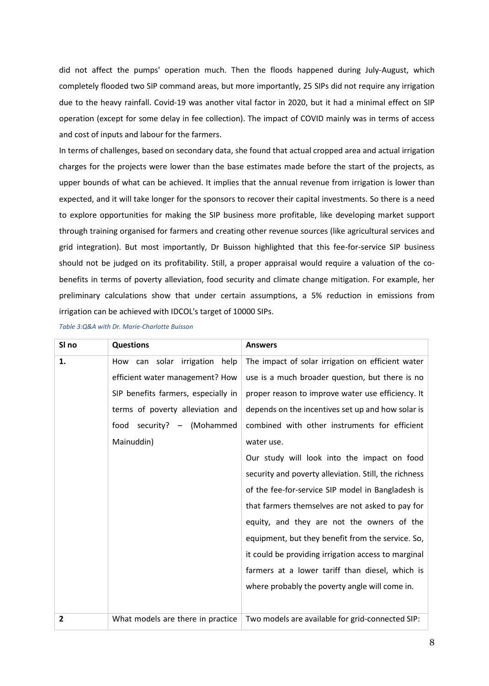did not affect the pumps' operation much. Then the floods happened during July-August, which completely flooded two SIP command areas, but more importantly, 25 SIPs did not require any irrigation due to the heavy rainfall. Covid-19 was another vital factor in 2020, but it had a minimal effect on SIP operation (except for some delay in fee collection). The impact of COVID mainly was in terms of access and cost of inputs and labour for the farmers.

In terms of challenges, based on secondary data, she found that actual cropped area and actual irrigation charges for the projects were lower than the base estimates made before the start of the projects, as upper bounds of what can be achieved. It implies that the annual revenue from irrigation is lower than expected, and it will take longer for the sponsors to recover their capital investments. So there is a need to explore opportunities for making the SIP business more profitable, like developing market support through training organised for farmers and creating other revenue sources (like agricultural services and grid integration). But most importantly, Dr Buisson highlighted that this fee-for-service SIP business should not be judged on its profitability. Still, a proper appraisal would require a valuation of the cobenefits in terms of poverty alleviation, food security and climate change mitigation. For example, her preliminary calculations show that under certain assumptions, a 5% reduction in emissions from irrigation can be achieved with IDCOL's target of 10000 SIPs.

<span id="page-7-0"></span>*Table 3:Q&A with Dr. Marie-Charlotte Buisson*

| SI no          | <b>Questions</b>                       | <b>Answers</b>                                        |
|----------------|----------------------------------------|-------------------------------------------------------|
| 1.             | irrigation<br>solar<br>help<br>How can | The impact of solar irrigation on efficient water     |
|                | efficient water management? How        | use is a much broader question, but there is no       |
|                | SIP benefits farmers, especially in    | proper reason to improve water use efficiency. It     |
|                | terms of poverty alleviation and       | depends on the incentives set up and how solar is     |
|                | food<br>security? - (Mohammed          | combined with other instruments for efficient         |
|                | Mainuddin)                             | water use.                                            |
|                |                                        | Our study will look into the impact on food           |
|                |                                        | security and poverty alleviation. Still, the richness |
|                |                                        | of the fee-for-service SIP model in Bangladesh is     |
|                |                                        | that farmers themselves are not asked to pay for      |
|                |                                        | equity, and they are not the owners of the            |
|                |                                        | equipment, but they benefit from the service. So,     |
|                |                                        | it could be providing irrigation access to marginal   |
|                |                                        | farmers at a lower tariff than diesel, which is       |
|                |                                        | where probably the poverty angle will come in.        |
|                |                                        |                                                       |
| $\overline{2}$ | What models are there in practice      | Two models are available for grid-connected SIP:      |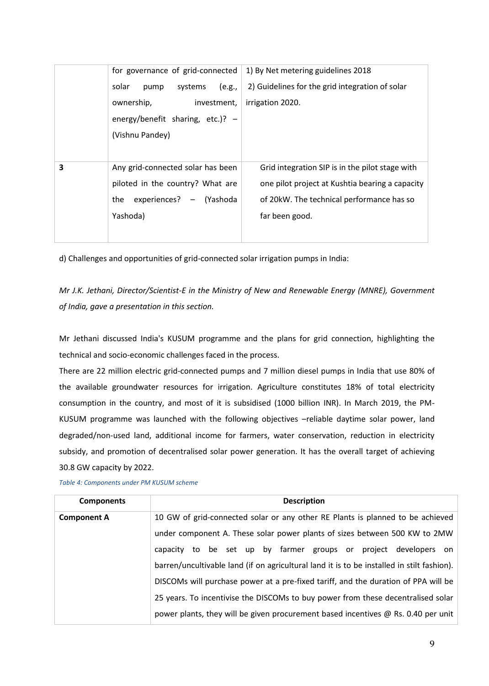|   | for governance of grid-connected   | 1) By Net metering guidelines 2018              |
|---|------------------------------------|-------------------------------------------------|
|   | solar<br>systems<br>(e.g.,<br>pump | 2) Guidelines for the grid integration of solar |
|   | ownership,<br>investment,          | irrigation 2020.                                |
|   | energy/benefit sharing, etc.)? $-$ |                                                 |
|   | (Vishnu Pandey)                    |                                                 |
|   |                                    |                                                 |
| 3 | Any grid-connected solar has been  | Grid integration SIP is in the pilot stage with |
|   | piloted in the country? What are   | one pilot project at Kushtia bearing a capacity |
|   | experiences? - (Yashoda<br>the     | of 20kW. The technical performance has so       |
|   | Yashoda)                           | far been good.                                  |
|   |                                    |                                                 |
|   |                                    |                                                 |

d) Challenges and opportunities of grid-connected solar irrigation pumps in India:

*Mr J.K. Jethani, Director/Scientist-E in the Ministry of New and Renewable Energy (MNRE), Government of India, gave a presentation in this section.*

Mr Jethani discussed India's KUSUM programme and the plans for grid connection, highlighting the technical and socio-economic challenges faced in the process.

There are 22 million electric grid-connected pumps and 7 million diesel pumps in India that use 80% of the available groundwater resources for irrigation. Agriculture constitutes 18% of total electricity consumption in the country, and most of it is subsidised (1000 billion INR). In March 2019, the PM-KUSUM programme was launched with the following objectives –reliable daytime solar power, land degraded/non-used land, additional income for farmers, water conservation, reduction in electricity subsidy, and promotion of decentralised solar power generation. It has the overall target of achieving 30.8 GW capacity by 2022.

| <b>Components</b>  | <b>Description</b>                                                                         |  |
|--------------------|--------------------------------------------------------------------------------------------|--|
| <b>Component A</b> | 10 GW of grid-connected solar or any other RE Plants is planned to be achieved             |  |
|                    | under component A. These solar power plants of sizes between 500 KW to 2MW                 |  |
|                    | capacity to be set up by farmer groups or project developers on                            |  |
|                    | barren/uncultivable land (if on agricultural land it is to be installed in stilt fashion). |  |
|                    | DISCOMs will purchase power at a pre-fixed tariff, and the duration of PPA will be         |  |
|                    | 25 years. To incentivise the DISCOMs to buy power from these decentralised solar           |  |
|                    | power plants, they will be given procurement based incentives @ Rs. 0.40 per unit          |  |

<span id="page-8-0"></span>*Table 4: Components under PM KUSUM scheme*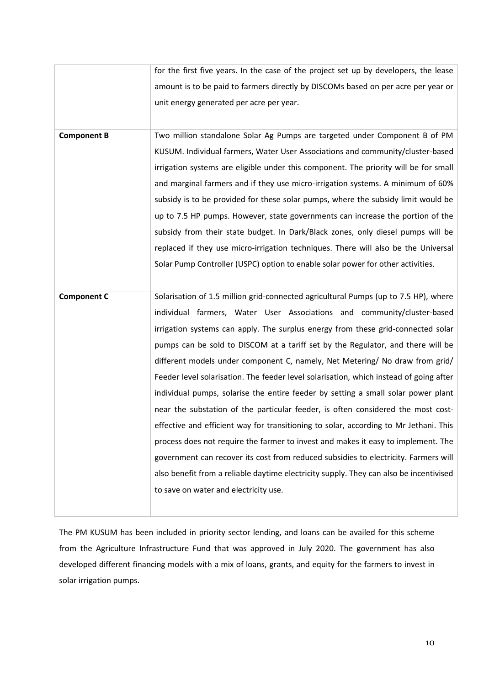|                    | for the first five years. In the case of the project set up by developers, the lease   |
|--------------------|----------------------------------------------------------------------------------------|
|                    | amount is to be paid to farmers directly by DISCOMs based on per acre per year or      |
|                    | unit energy generated per acre per year.                                               |
|                    |                                                                                        |
| <b>Component B</b> | Two million standalone Solar Ag Pumps are targeted under Component B of PM             |
|                    | KUSUM. Individual farmers, Water User Associations and community/cluster-based         |
|                    | irrigation systems are eligible under this component. The priority will be for small   |
|                    | and marginal farmers and if they use micro-irrigation systems. A minimum of 60%        |
|                    | subsidy is to be provided for these solar pumps, where the subsidy limit would be      |
|                    | up to 7.5 HP pumps. However, state governments can increase the portion of the         |
|                    | subsidy from their state budget. In Dark/Black zones, only diesel pumps will be        |
|                    | replaced if they use micro-irrigation techniques. There will also be the Universal     |
|                    | Solar Pump Controller (USPC) option to enable solar power for other activities.        |
|                    |                                                                                        |
|                    |                                                                                        |
|                    |                                                                                        |
| <b>Component C</b> | Solarisation of 1.5 million grid-connected agricultural Pumps (up to 7.5 HP), where    |
|                    | individual farmers, Water User Associations and community/cluster-based                |
|                    | irrigation systems can apply. The surplus energy from these grid-connected solar       |
|                    | pumps can be sold to DISCOM at a tariff set by the Regulator, and there will be        |
|                    | different models under component C, namely, Net Metering/ No draw from grid/           |
|                    | Feeder level solarisation. The feeder level solarisation, which instead of going after |
|                    | individual pumps, solarise the entire feeder by setting a small solar power plant      |
|                    | near the substation of the particular feeder, is often considered the most cost-       |
|                    | effective and efficient way for transitioning to solar, according to Mr Jethani. This  |
|                    | process does not require the farmer to invest and makes it easy to implement. The      |
|                    | government can recover its cost from reduced subsidies to electricity. Farmers will    |
|                    | also benefit from a reliable daytime electricity supply. They can also be incentivised |
|                    | to save on water and electricity use.                                                  |

The PM KUSUM has been included in priority sector lending, and loans can be availed for this scheme from the Agriculture Infrastructure Fund that was approved in July 2020. The government has also developed different financing models with a mix of loans, grants, and equity for the farmers to invest in solar irrigation pumps.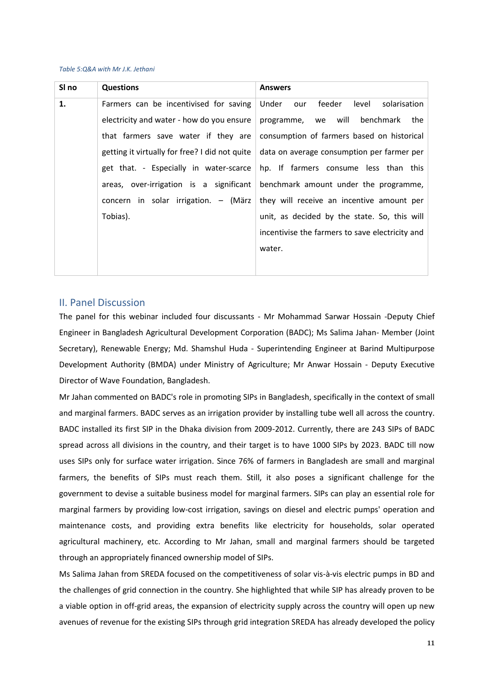#### <span id="page-10-1"></span>*Table 5:Q&A with Mr J.K. Jethani*

| SI no | <b>Questions</b>                               | <b>Answers</b>                                  |
|-------|------------------------------------------------|-------------------------------------------------|
| 1.    | Farmers can be incentivised for saving         | feeder<br>solarisation<br>Under<br>level<br>our |
|       | electricity and water - how do you ensure      | benchmark<br>programme, we will<br>the          |
|       | that farmers save water if they are            | consumption of farmers based on historical      |
|       | getting it virtually for free? I did not quite | data on average consumption per farmer per      |
|       | get that. - Especially in water-scarce         | hp. If farmers consume less than this           |
|       | areas, over-irrigation is a significant        | benchmark amount under the programme,           |
|       | concern in solar irrigation. - (März           | they will receive an incentive amount per       |
|       | Tobias).                                       | unit, as decided by the state. So, this will    |
|       |                                                | incentivise the farmers to save electricity and |
|       |                                                | water.                                          |
|       |                                                |                                                 |

#### <span id="page-10-0"></span>II. Panel Discussion

The panel for this webinar included four discussants - Mr Mohammad Sarwar Hossain -Deputy Chief Engineer in Bangladesh Agricultural Development Corporation (BADC); Ms Salima Jahan- Member (Joint Secretary), Renewable Energy; Md. Shamshul Huda - Superintending Engineer at Barind Multipurpose Development Authority (BMDA) under Ministry of Agriculture; Mr Anwar Hossain - Deputy Executive Director of Wave Foundation, Bangladesh.

Mr Jahan commented on BADC's role in promoting SIPs in Bangladesh, specifically in the context of small and marginal farmers. BADC serves as an irrigation provider by installing tube well all across the country. BADC installed its first SIP in the Dhaka division from 2009-2012. Currently, there are 243 SIPs of BADC spread across all divisions in the country, and their target is to have 1000 SIPs by 2023. BADC till now uses SIPs only for surface water irrigation. Since 76% of farmers in Bangladesh are small and marginal farmers, the benefits of SIPs must reach them. Still, it also poses a significant challenge for the government to devise a suitable business model for marginal farmers. SIPs can play an essential role for marginal farmers by providing low-cost irrigation, savings on diesel and electric pumps' operation and maintenance costs, and providing extra benefits like electricity for households, solar operated agricultural machinery, etc. According to Mr Jahan, small and marginal farmers should be targeted through an appropriately financed ownership model of SIPs.

Ms Salima Jahan from SREDA focused on the competitiveness of solar vis-à-vis electric pumps in BD and the challenges of grid connection in the country. She highlighted that while SIP has already proven to be a viable option in off-grid areas, the expansion of electricity supply across the country will open up new avenues of revenue for the existing SIPs through grid integration SREDA has already developed the policy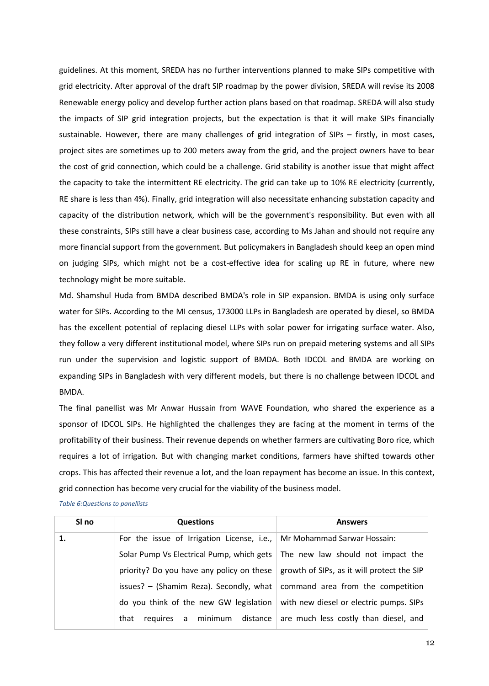guidelines. At this moment, SREDA has no further interventions planned to make SIPs competitive with grid electricity. After approval of the draft SIP roadmap by the power division, SREDA will revise its 2008 Renewable energy policy and develop further action plans based on that roadmap. SREDA will also study the impacts of SIP grid integration projects, but the expectation is that it will make SIPs financially sustainable. However, there are many challenges of grid integration of SIPs – firstly, in most cases, project sites are sometimes up to 200 meters away from the grid, and the project owners have to bear the cost of grid connection, which could be a challenge. Grid stability is another issue that might affect the capacity to take the intermittent RE electricity. The grid can take up to 10% RE electricity (currently, RE share is less than 4%). Finally, grid integration will also necessitate enhancing substation capacity and capacity of the distribution network, which will be the government's responsibility. But even with all these constraints, SIPs still have a clear business case, according to Ms Jahan and should not require any more financial support from the government. But policymakers in Bangladesh should keep an open mind on judging SIPs, which might not be a cost-effective idea for scaling up RE in future, where new technology might be more suitable.

Md. Shamshul Huda from BMDA described BMDA's role in SIP expansion. BMDA is using only surface water for SIPs. According to the MI census, 173000 LLPs in Bangladesh are operated by diesel, so BMDA has the excellent potential of replacing diesel LLPs with solar power for irrigating surface water. Also, they follow a very different institutional model, where SIPs run on prepaid metering systems and all SIPs run under the supervision and logistic support of BMDA. Both IDCOL and BMDA are working on expanding SIPs in Bangladesh with very different models, but there is no challenge between IDCOL and BMDA.

The final panellist was Mr Anwar Hussain from WAVE Foundation, who shared the experience as a sponsor of IDCOL SIPs. He highlighted the challenges they are facing at the moment in terms of the profitability of their business. Their revenue depends on whether farmers are cultivating Boro rice, which requires a lot of irrigation. But with changing market conditions, farmers have shifted towards other crops. This has affected their revenue a lot, and the loan repayment has become an issue. In this context, grid connection has become very crucial for the viability of the business model.

<span id="page-11-0"></span>*Table 6:Questions to panellists*

| SI no | <b>Questions</b>                                                                       | <b>Answers</b>                                                    |
|-------|----------------------------------------------------------------------------------------|-------------------------------------------------------------------|
| 1.    | For the issue of Irrigation License, i.e., Mr Mohammad Sarwar Hossain:                 |                                                                   |
|       | Solar Pump Vs Electrical Pump, which gets   The new law should not impact the          |                                                                   |
|       | priority? Do you have any policy on these                                              | growth of SIPs, as it will protect the SIP                        |
|       | issues? – (Shamim Reza). Secondly, what $\vert$ command area from the competition      |                                                                   |
|       | do you think of the new GW legislation $\vert$ with new diesel or electric pumps. SIPs |                                                                   |
|       | that                                                                                   | requires a minimum distance are much less costly than diesel, and |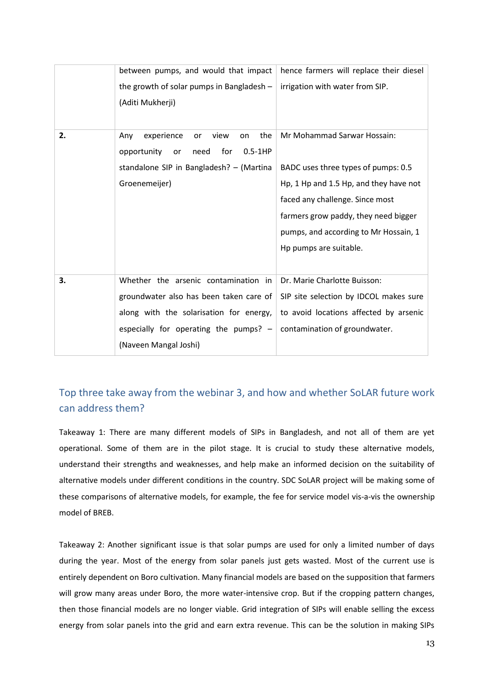|    | between pumps, and would that impact                | hence farmers will replace their diesel |
|----|-----------------------------------------------------|-----------------------------------------|
|    | the growth of solar pumps in Bangladesh -           | irrigation with water from SIP.         |
|    | (Aditi Mukherji)                                    |                                         |
|    |                                                     |                                         |
| 2. | the<br>experience<br>view<br>Any<br>on<br><b>or</b> | Mr Mohammad Sarwar Hossain:             |
|    | for<br>$0.5-1HP$<br>opportunity<br>need<br>or       |                                         |
|    | standalone SIP in Bangladesh? - (Martina            | BADC uses three types of pumps: 0.5     |
|    | Groenemeijer)                                       | Hp, 1 Hp and 1.5 Hp, and they have not  |
|    |                                                     | faced any challenge. Since most         |
|    |                                                     | farmers grow paddy, they need bigger    |
|    |                                                     | pumps, and according to Mr Hossain, 1   |
|    |                                                     | Hp pumps are suitable.                  |
|    |                                                     |                                         |
| 3. | Whether the arsenic contamination in                | Dr. Marie Charlotte Buisson:            |
|    | groundwater also has been taken care of             | SIP site selection by IDCOL makes sure  |
|    | along with the solarisation for energy,             | to avoid locations affected by arsenic  |
|    | especially for operating the pumps? $-$             | contamination of groundwater.           |
|    | (Naveen Mangal Joshi)                               |                                         |

### <span id="page-12-0"></span>Top three take away from the webinar 3, and how and whether SoLAR future work can address them?

Takeaway 1: There are many different models of SIPs in Bangladesh, and not all of them are yet operational. Some of them are in the pilot stage. It is crucial to study these alternative models, understand their strengths and weaknesses, and help make an informed decision on the suitability of alternative models under different conditions in the country. SDC SoLAR project will be making some of these comparisons of alternative models, for example, the fee for service model vis-a-vis the ownership model of BREB.

Takeaway 2: Another significant issue is that solar pumps are used for only a limited number of days during the year. Most of the energy from solar panels just gets wasted. Most of the current use is entirely dependent on Boro cultivation. Many financial models are based on the supposition that farmers will grow many areas under Boro, the more water-intensive crop. But if the cropping pattern changes, then those financial models are no longer viable. Grid integration of SIPs will enable selling the excess energy from solar panels into the grid and earn extra revenue. This can be the solution in making SIPs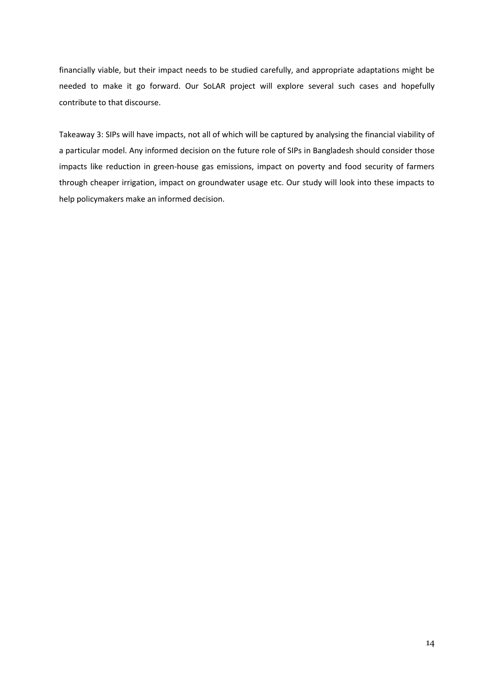financially viable, but their impact needs to be studied carefully, and appropriate adaptations might be needed to make it go forward. Our SoLAR project will explore several such cases and hopefully contribute to that discourse.

Takeaway 3: SIPs will have impacts, not all of which will be captured by analysing the financial viability of a particular model. Any informed decision on the future role of SIPs in Bangladesh should consider those impacts like reduction in green-house gas emissions, impact on poverty and food security of farmers through cheaper irrigation, impact on groundwater usage etc. Our study will look into these impacts to help policymakers make an informed decision.